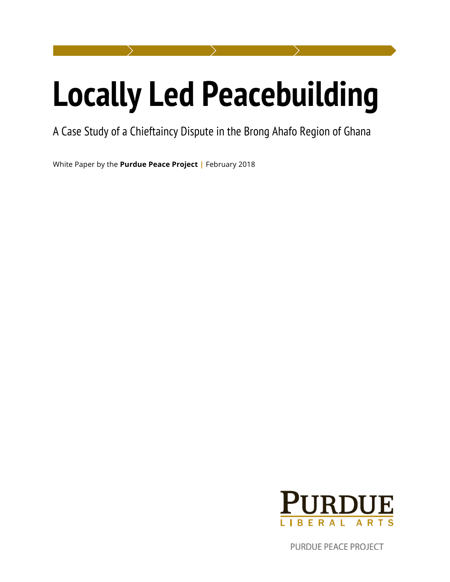# **Locally Led Peacebuilding**

# A Case Study of a Chieftaincy Dispute in the Brong Ahafo Region of Ghana

White Paper by the **Purdue Peace Project |** February 2018



PURDUE PEACE PROJECT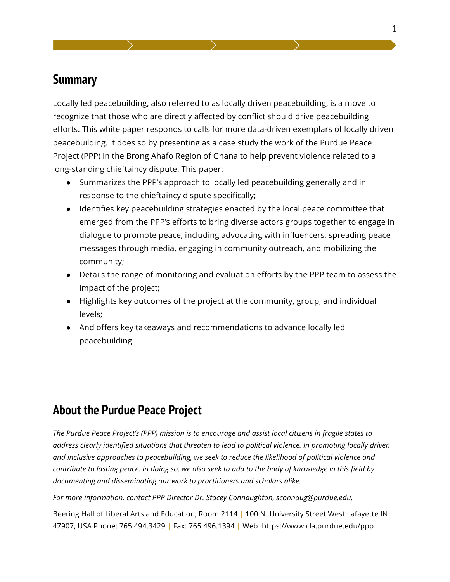## **Summary**

Locally led peacebuilding, also referred to as locally driven peacebuilding, is a move to recognize that those who are directly affected by conflict should drive peacebuilding efforts. This white paper responds to calls for more data-driven exemplars of locally driven peacebuilding. It does so by presenting as a case study the work of the Purdue Peace Project (PPP) in the Brong Ahafo Region of Ghana to help prevent violence related to a long-standing chieftaincy dispute. This paper:

- Summarizes the PPP's approach to locally led peacebuilding generally and in response to the chieftaincy dispute specifically;
- Identifies key peacebuilding strategies enacted by the local peace committee that emerged from the PPP's efforts to bring diverse actors groups together to engage in dialogue to promote peace, including advocating with influencers, spreading peace messages through media, engaging in community outreach, and mobilizing the community;
- Details the range of monitoring and evaluation efforts by the PPP team to assess the impact of the project;
- Highlights key outcomes of the project at the community, group, and individual levels;
- And offers key takeaways and recommendations to advance locally led peacebuilding.

# **About the Purdue Peace Project**

*The Purdue Peace Project's (PPP) mission is to encourage and assist local citizens in fragile states to address clearly identified situations that threaten to lead to political violence. In promoting locally driven and inclusive approaches to peacebuilding, we seek to reduce the likelihood of political violence and contribute to lasting peace. In doing so, we also seek to add to the body of knowledge in this field by documenting and disseminating our work to practitioners and scholars alike.* 

#### *For more information, contact PPP Director Dr. Stacey Connaughton, sconnaug@purdue.edu.*

Beering Hall of Liberal Arts and Education, Room 2114 | 100 N. University Street West Lafayette IN 47907, USA Phone: 765.494.3429 | Fax: 765.496.1394 | Web: https://www.cla.purdue.edu/ppp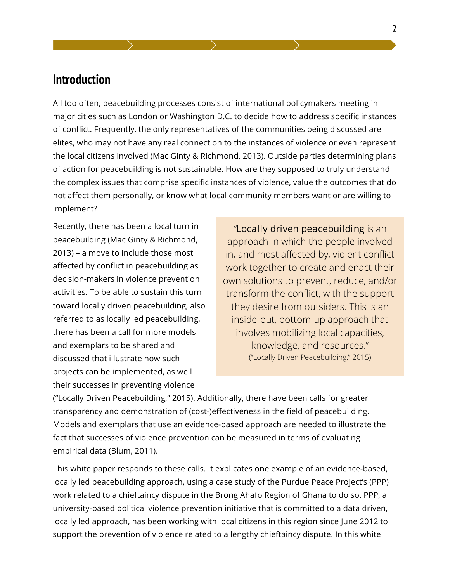## **Introduction**

All too often, peacebuilding processes consist of international policymakers meeting in major cities such as London or Washington D.C. to decide how to address specific instances of conflict. Frequently, the only representatives of the communities being discussed are elites, who may not have any real connection to the instances of violence or even represent the local citizens involved (Mac Ginty & Richmond, 2013). Outside parties determining plans of action for peacebuilding is not sustainable. How are they supposed to truly understand the complex issues that comprise specific instances of violence, value the outcomes that do not affect them personally, or know what local community members want or are willing to implement?

Recently, there has been a local turn in peacebuilding (Mac Ginty & Richmond, 2013) – a move to include those most affected by conflict in peacebuilding as decision-makers in violence prevention activities. To be able to sustain this turn toward locally driven peacebuilding, also referred to as locally led peacebuilding, there has been a call for more models and exemplars to be shared and discussed that illustrate how such projects can be implemented, as well their successes in preventing violence

*"*Locally driven peacebuilding is an approach in which the people involved in, and most affected by, violent conflict work together to create and enact their own solutions to prevent, reduce, and/or transform the conflict, with the support they desire from outsiders. This is an inside-out, bottom-up approach that involves mobilizing local capacities, knowledge, and resources." ("Locally Driven Peacebuilding," 2015)

("Locally Driven Peacebuilding," 2015). Additionally, there have been calls for greater transparency and demonstration of (cost-)effectiveness in the field of peacebuilding. Models and exemplars that use an evidence-based approach are needed to illustrate the fact that successes of violence prevention can be measured in terms of evaluating empirical data (Blum, 2011).

This white paper responds to these calls. It explicates one example of an evidence-based, locally led peacebuilding approach, using a case study of the Purdue Peace Project's (PPP) work related to a chieftaincy dispute in the Brong Ahafo Region of Ghana to do so. PPP, a university-based political violence prevention initiative that is committed to a data driven, locally led approach, has been working with local citizens in this region since June 2012 to support the prevention of violence related to a lengthy chieftaincy dispute. In this white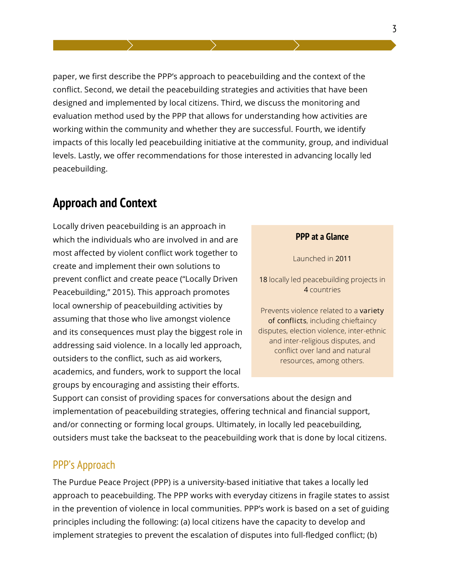paper, we first describe the PPP's approach to peacebuilding and the context of the conflict. Second, we detail the peacebuilding strategies and activities that have been designed and implemented by local citizens. Third, we discuss the monitoring and evaluation method used by the PPP that allows for understanding how activities are working within the community and whether they are successful. Fourth, we identify impacts of this locally led peacebuilding initiative at the community, group, and individual levels. Lastly, we offer recommendations for those interested in advancing locally led peacebuilding.

# **Approach and Context**

Locally driven peacebuilding is an approach in which the individuals who are involved in and are most affected by violent conflict work together to create and implement their own solutions to prevent conflict and create peace ("Locally Driven Peacebuilding," 2015). This approach promotes local ownership of peacebuilding activities by assuming that those who live amongst violence and its consequences must play the biggest role in addressing said violence. In a locally led approach, outsiders to the conflict, such as aid workers, academics, and funders, work to support the local groups by encouraging and assisting their efforts.

#### **PPP at a Glance**

Launched in 2011

18 locally led peacebuilding projects in 4 countries

Prevents violence related to a variety of conflicts, including chieftaincy disputes, election violence, inter-ethnic and inter-religious disputes, and conflict over land and natural resources, among others.

Support can consist of providing spaces for conversations about the design and implementation of peacebuilding strategies, offering technical and financial support, and/or connecting or forming local groups. Ultimately, in locally led peacebuilding, outsiders must take the backseat to the peacebuilding work that is done by local citizens.

#### PPP's Approach

The Purdue Peace Project (PPP) is a university-based initiative that takes a locally led approach to peacebuilding. The PPP works with everyday citizens in fragile states to assist in the prevention of violence in local communities. PPP's work is based on a set of guiding principles including the following: (a) local citizens have the capacity to develop and implement strategies to prevent the escalation of disputes into full-fledged conflict; (b)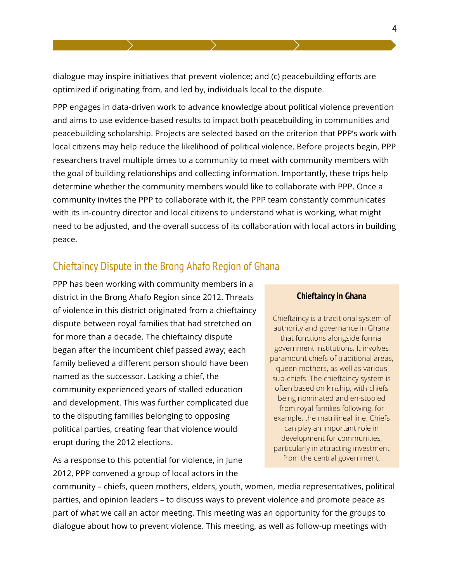dialogue may inspire initiatives that prevent violence; and (c) peacebuilding efforts are optimized if originating from, and led by, individuals local to the dispute.

PPP engages in data-driven work to advance knowledge about political violence prevention and aims to use evidence-based results to impact both peacebuilding in communities and peacebuilding scholarship. Projects are selected based on the criterion that PPP's work with local citizens may help reduce the likelihood of political violence. Before projects begin, PPP researchers travel multiple times to a community to meet with community members with the goal of building relationships and collecting information. Importantly, these trips help determine whether the community members would like to collaborate with PPP. Once a community invites the PPP to collaborate with it, the PPP team constantly communicates with its in-country director and local citizens to understand what is working, what might need to be adjusted, and the overall success of its collaboration with local actors in building peace.

## Chieftaincy Dispute in the Brong Ahafo Region of Ghana

PPP has been working with community members in a district in the Brong Ahafo Region since 2012. Threats of violence in this district originated from a chieftaincy dispute between royal families that had stretched on for more than a decade. The chieftaincy dispute began after the incumbent chief passed away; each family believed a different person should have been named as the successor. Lacking a chief, the community experienced years of stalled education and development. This was further complicated due to the disputing families belonging to opposing political parties, creating fear that violence would erupt during the 2012 elections.

As a response to this potential for violence, in June 2012, PPP convened a group of local actors in the

#### **Chieftaincy in Ghana**

Chieftaincy is a traditional system of authority and governance in Ghana that functions alongside formal government institutions. It involves paramount chiefs of traditional areas, queen mothers, as well as various sub-chiefs. The chieftaincy system is often based on kinship, with chiefs being nominated and en-stooled from royal families following, for example, the matrilineal line. Chiefs can play an important role in development for communities, particularly in attracting investment from the central government.

community – chiefs, queen mothers, elders, youth, women, media representatives, political parties, and opinion leaders – to discuss ways to prevent violence and promote peace as part of what we call an actor meeting. This meeting was an opportunity for the groups to dialogue about how to prevent violence. This meeting, as well as follow-up meetings with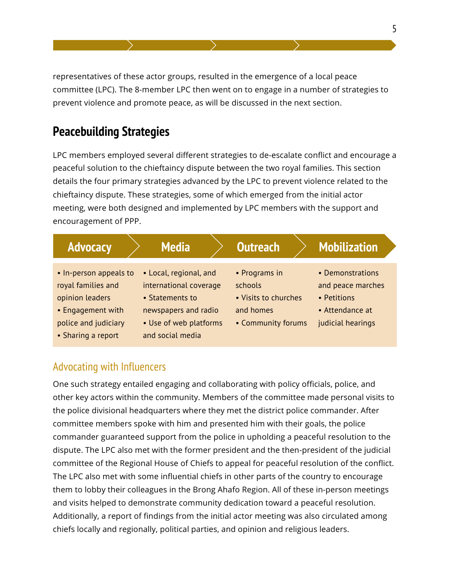representatives of these actor groups, resulted in the emergence of a local peace committee (LPC). The 8-member LPC then went on to engage in a number of strategies to prevent violence and promote peace, as will be discussed in the next section.

# **Peacebuilding Strategies**

LPC members employed several different strategies to de-escalate conflict and encourage a peaceful solution to the chieftaincy dispute between the two royal families. This section details the four primary strategies advanced by the LPC to prevent violence related to the chieftaincy dispute. These strategies, some of which emerged from the initial actor meeting, were both designed and implemented by LPC members with the support and encouragement of PPP.

| <b>Advocacy</b>                                                                                                                    | <b>Media</b>                                                                                                                              | <b>Outreach</b>                                                                     | <b>Mobilization</b>                                                                          |
|------------------------------------------------------------------------------------------------------------------------------------|-------------------------------------------------------------------------------------------------------------------------------------------|-------------------------------------------------------------------------------------|----------------------------------------------------------------------------------------------|
| • In-person appeals to<br>royal families and<br>opinion leaders<br>• Engagement with<br>police and judiciary<br>• Sharing a report | • Local, regional, and<br>international coverage<br>• Statements to<br>newspapers and radio<br>• Use of web platforms<br>and social media | • Programs in<br>schools<br>• Visits to churches<br>and homes<br>• Community forums | • Demonstrations<br>and peace marches<br>• Petitions<br>• Attendance at<br>judicial hearings |

## Advocating with Influencers

One such strategy entailed engaging and collaborating with policy officials, police, and other key actors within the community. Members of the committee made personal visits to the police divisional headquarters where they met the district police commander. After committee members spoke with him and presented him with their goals, the police commander guaranteed support from the police in upholding a peaceful resolution to the dispute. The LPC also met with the former president and the then-president of the judicial committee of the Regional House of Chiefs to appeal for peaceful resolution of the conflict. The LPC also met with some influential chiefs in other parts of the country to encourage them to lobby their colleagues in the Brong Ahafo Region. All of these in-person meetings and visits helped to demonstrate community dedication toward a peaceful resolution. Additionally, a report of findings from the initial actor meeting was also circulated among chiefs locally and regionally, political parties, and opinion and religious leaders.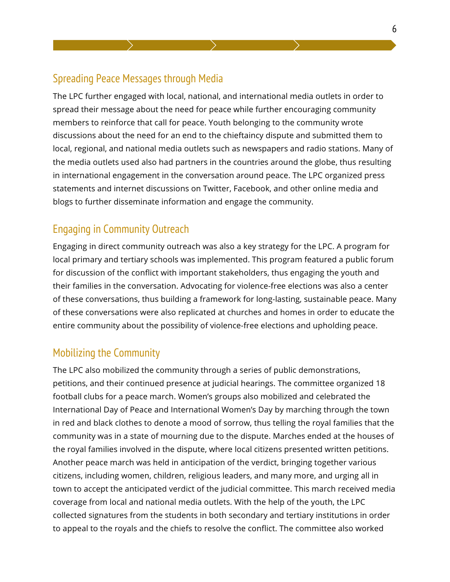## Spreading Peace Messages through Media

The LPC further engaged with local, national, and international media outlets in order to spread their message about the need for peace while further encouraging community members to reinforce that call for peace. Youth belonging to the community wrote discussions about the need for an end to the chieftaincy dispute and submitted them to local, regional, and national media outlets such as newspapers and radio stations. Many of the media outlets used also had partners in the countries around the globe, thus resulting in international engagement in the conversation around peace. The LPC organized press statements and internet discussions on Twitter, Facebook, and other online media and blogs to further disseminate information and engage the community.

## Engaging in Community Outreach

Engaging in direct community outreach was also a key strategy for the LPC. A program for local primary and tertiary schools was implemented. This program featured a public forum for discussion of the conflict with important stakeholders, thus engaging the youth and their families in the conversation. Advocating for violence-free elections was also a center of these conversations, thus building a framework for long-lasting, sustainable peace. Many of these conversations were also replicated at churches and homes in order to educate the entire community about the possibility of violence-free elections and upholding peace.

## Mobilizing the Community

The LPC also mobilized the community through a series of public demonstrations, petitions, and their continued presence at judicial hearings. The committee organized 18 football clubs for a peace march. Women's groups also mobilized and celebrated the International Day of Peace and International Women's Day by marching through the town in red and black clothes to denote a mood of sorrow, thus telling the royal families that the community was in a state of mourning due to the dispute. Marches ended at the houses of the royal families involved in the dispute, where local citizens presented written petitions. Another peace march was held in anticipation of the verdict, bringing together various citizens, including women, children, religious leaders, and many more, and urging all in town to accept the anticipated verdict of the judicial committee. This march received media coverage from local and national media outlets. With the help of the youth, the LPC collected signatures from the students in both secondary and tertiary institutions in order to appeal to the royals and the chiefs to resolve the conflict. The committee also worked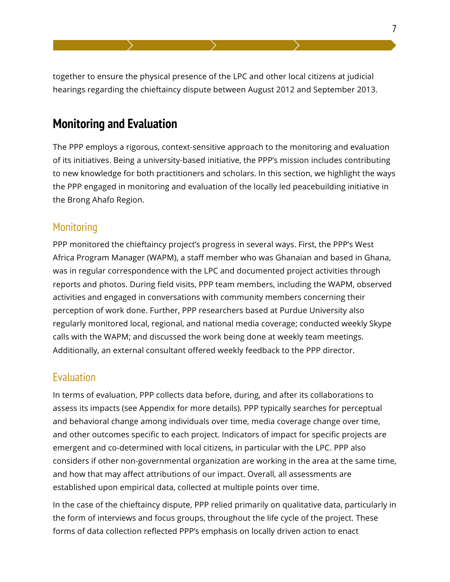together to ensure the physical presence of the LPC and other local citizens at judicial hearings regarding the chieftaincy dispute between August 2012 and September 2013.

# **Monitoring and Evaluation**

The PPP employs a rigorous, context-sensitive approach to the monitoring and evaluation of its initiatives. Being a university-based initiative, the PPP's mission includes contributing to new knowledge for both practitioners and scholars. In this section, we highlight the ways the PPP engaged in monitoring and evaluation of the locally led peacebuilding initiative in the Brong Ahafo Region.

#### **Monitoring**

PPP monitored the chieftaincy project's progress in several ways. First, the PPP's West Africa Program Manager (WAPM), a staff member who was Ghanaian and based in Ghana, was in regular correspondence with the LPC and documented project activities through reports and photos. During field visits, PPP team members, including the WAPM, observed activities and engaged in conversations with community members concerning their perception of work done. Further, PPP researchers based at Purdue University also regularly monitored local, regional, and national media coverage; conducted weekly Skype calls with the WAPM; and discussed the work being done at weekly team meetings. Additionally, an external consultant offered weekly feedback to the PPP director.

## **Evaluation**

In terms of evaluation, PPP collects data before, during, and after its collaborations to assess its impacts (see Appendix for more details). PPP typically searches for perceptual and behavioral change among individuals over time, media coverage change over time, and other outcomes specific to each project. Indicators of impact for specific projects are emergent and co-determined with local citizens, in particular with the LPC. PPP also considers if other non-governmental organization are working in the area at the same time, and how that may affect attributions of our impact. Overall, all assessments are established upon empirical data, collected at multiple points over time.

In the case of the chieftaincy dispute, PPP relied primarily on qualitative data, particularly in the form of interviews and focus groups, throughout the life cycle of the project. These forms of data collection reflected PPP's emphasis on locally driven action to enact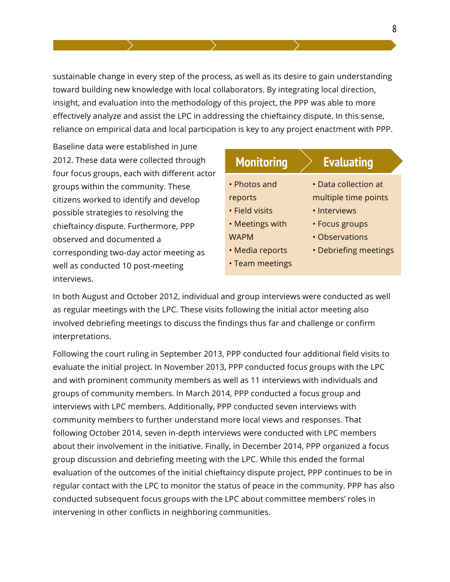sustainable change in every step of the process, as well as its desire to gain understanding toward building new knowledge with local collaborators. By integrating local direction, insight, and evaluation into the methodology of this project, the PPP was able to more effectively analyze and assist the LPC in addressing the chieftaincy dispute. In this sense, reliance on empirical data and local participation is key to any project enactment with PPP.

Baseline data were established in June 2012. These data were collected through four focus groups, each with different actor groups within the community. These citizens worked to identify and develop possible strategies to resolving the chieftaincy dispute. Furthermore, PPP observed and documented a corresponding two-day actor meeting as well as conducted 10 post-meeting interviews.

| <b>Monitoring</b> | <b>Evaluating</b>               |
|-------------------|---------------------------------|
| • Photos and      | $\bm{\cdot}$ Data collection at |
| reports           | multiple time points            |
| • Field visits    | • Interviews                    |
| • Meetings with   | • Focus groups                  |
| <b>WAPM</b>       | • Observations                  |
| • Media reports   | • Debriefing meetings           |
| • Team meetings   |                                 |
|                   |                                 |

In both August and October 2012, individual and group interviews were conducted as well as regular meetings with the LPC. These visits following the initial actor meeting also involved debriefing meetings to discuss the findings thus far and challenge or confirm interpretations.

Following the court ruling in September 2013, PPP conducted four additional field visits to evaluate the initial project. In November 2013, PPP conducted focus groups with the LPC and with prominent community members as well as 11 interviews with individuals and groups of community members. In March 2014, PPP conducted a focus group and interviews with LPC members. Additionally, PPP conducted seven interviews with community members to further understand more local views and responses. That following October 2014, seven in-depth interviews were conducted with LPC members about their involvement in the initiative. Finally, in December 2014, PPP organized a focus group discussion and debriefing meeting with the LPC. While this ended the formal evaluation of the outcomes of the initial chieftaincy dispute project, PPP continues to be in regular contact with the LPC to monitor the status of peace in the community. PPP has also conducted subsequent focus groups with the LPC about committee members' roles in intervening in other conflicts in neighboring communities.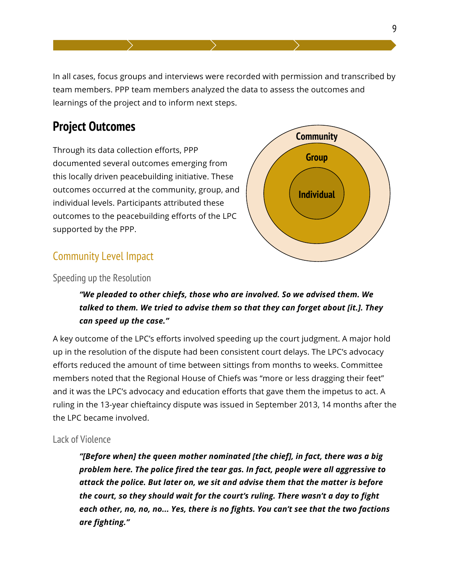In all cases, focus groups and interviews were recorded with permission and transcribed by team members. PPP team members analyzed the data to assess the outcomes and learnings of the project and to inform next steps.

# **Project Outcomes**

Through its data collection efforts, PPP documented several outcomes emerging from this locally driven peacebuilding initiative. These outcomes occurred at the community, group, and individual levels. Participants attributed these outcomes to the peacebuilding efforts of the LPC supported by the PPP.



## Community Level Impact

Speeding up the Resolution

#### *"We pleaded to other chiefs, those who are involved. So we advised them. We talked to them. We tried to advise them so that they can forget about [it.]. They can speed up the case."*

A key outcome of the LPC's efforts involved speeding up the court judgment. A major hold up in the resolution of the dispute had been consistent court delays. The LPC's advocacy efforts reduced the amount of time between sittings from months to weeks. Committee members noted that the Regional House of Chiefs was "more or less dragging their feet" and it was the LPC's advocacy and education efforts that gave them the impetus to act. A ruling in the 13-year chieftaincy dispute was issued in September 2013, 14 months after the the LPC became involved.

#### Lack of Violence

*"[Before when] the queen mother nominated [the chief], in fact, there was a big problem here. The police fired the tear gas. In fact, people were all aggressive to attack the police. But later on, we sit and advise them that the matter is before the court, so they should wait for the court's ruling. There wasn't a day to fight each other, no, no, no... Yes, there is no fights. You can't see that the two factions are fighting."*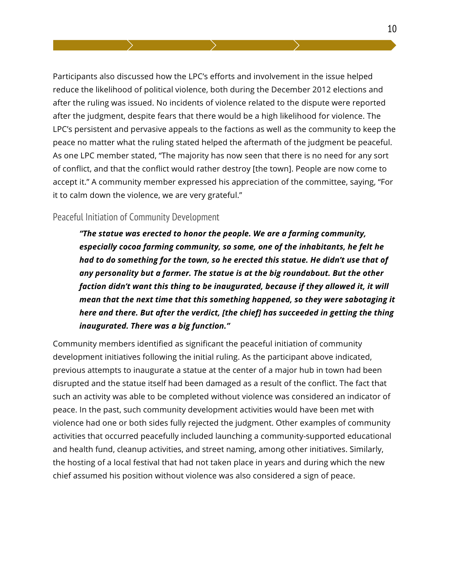Participants also discussed how the LPC's efforts and involvement in the issue helped reduce the likelihood of political violence, both during the December 2012 elections and after the ruling was issued. No incidents of violence related to the dispute were reported after the judgment, despite fears that there would be a high likelihood for violence. The LPC's persistent and pervasive appeals to the factions as well as the community to keep the peace no matter what the ruling stated helped the aftermath of the judgment be peaceful. As one LPC member stated, "The majority has now seen that there is no need for any sort of conflict, and that the conflict would rather destroy [the town]. People are now come to accept it." A community member expressed his appreciation of the committee, saying, "For it to calm down the violence, we are very grateful."

#### Peaceful Initiation of Community Development

*"The statue was erected to honor the people. We are a farming community, especially cocoa farming community, so some, one of the inhabitants, he felt he had to do something for the town, so he erected this statue. He didn't use that of any personality but a farmer. The statue is at the big roundabout. But the other faction didn't want this thing to be inaugurated, because if they allowed it, it will mean that the next time that this something happened, so they were sabotaging it here and there. But after the verdict, [the chief] has succeeded in getting the thing inaugurated. There was a big function."* 

Community members identified as significant the peaceful initiation of community development initiatives following the initial ruling. As the participant above indicated, previous attempts to inaugurate a statue at the center of a major hub in town had been disrupted and the statue itself had been damaged as a result of the conflict. The fact that such an activity was able to be completed without violence was considered an indicator of peace. In the past, such community development activities would have been met with violence had one or both sides fully rejected the judgment. Other examples of community activities that occurred peacefully included launching a community-supported educational and health fund, cleanup activities, and street naming, among other initiatives. Similarly, the hosting of a local festival that had not taken place in years and during which the new chief assumed his position without violence was also considered a sign of peace.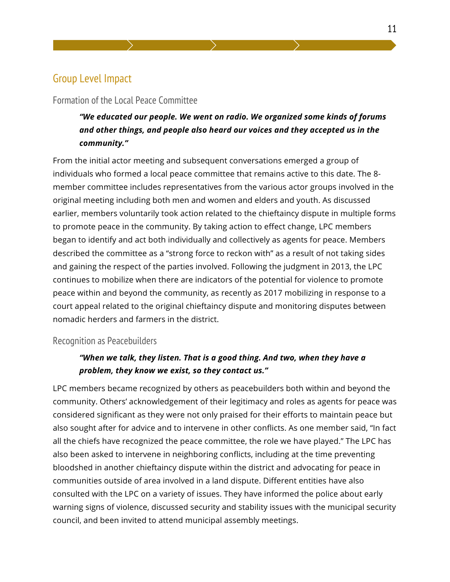## Group Level Impact

#### Formation of the Local Peace Committee

*"We educated our people. We went on radio. We organized some kinds of forums and other things, and people also heard our voices and they accepted us in the community."*

From the initial actor meeting and subsequent conversations emerged a group of individuals who formed a local peace committee that remains active to this date. The 8 member committee includes representatives from the various actor groups involved in the original meeting including both men and women and elders and youth. As discussed earlier, members voluntarily took action related to the chieftaincy dispute in multiple forms to promote peace in the community. By taking action to effect change, LPC members began to identify and act both individually and collectively as agents for peace. Members described the committee as a "strong force to reckon with" as a result of not taking sides and gaining the respect of the parties involved. Following the judgment in 2013, the LPC continues to mobilize when there are indicators of the potential for violence to promote peace within and beyond the community, as recently as 2017 mobilizing in response to a court appeal related to the original chieftaincy dispute and monitoring disputes between nomadic herders and farmers in the district.

#### Recognition as Peacebuilders

#### *"When we talk, they listen. That is a good thing. And two, when they have a problem, they know we exist, so they contact us."*

LPC members became recognized by others as peacebuilders both within and beyond the community. Others' acknowledgement of their legitimacy and roles as agents for peace was considered significant as they were not only praised for their efforts to maintain peace but also sought after for advice and to intervene in other conflicts. As one member said, "In fact all the chiefs have recognized the peace committee, the role we have played." The LPC has also been asked to intervene in neighboring conflicts, including at the time preventing bloodshed in another chieftaincy dispute within the district and advocating for peace in communities outside of area involved in a land dispute. Different entities have also consulted with the LPC on a variety of issues. They have informed the police about early warning signs of violence, discussed security and stability issues with the municipal security council, and been invited to attend municipal assembly meetings.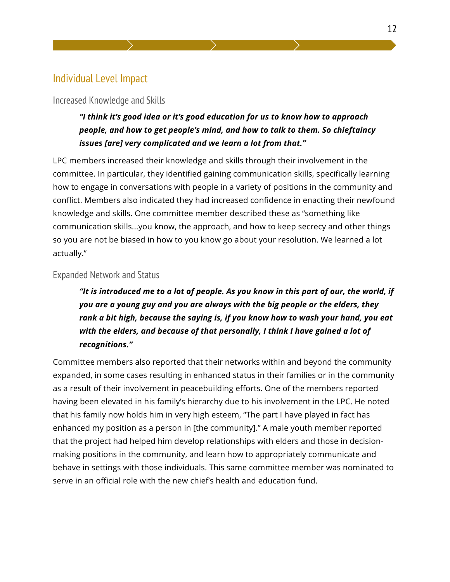## Individual Level Impact

#### Increased Knowledge and Skills

#### *"I think it's good idea or it's good education for us to know how to approach people, and how to get people's mind, and how to talk to them. So chieftaincy issues [are] very complicated and we learn a lot from that."*

LPC members increased their knowledge and skills through their involvement in the committee. In particular, they identified gaining communication skills, specifically learning how to engage in conversations with people in a variety of positions in the community and conflict. Members also indicated they had increased confidence in enacting their newfound knowledge and skills. One committee member described these as "something like communication skills...you know, the approach, and how to keep secrecy and other things so you are not be biased in how to you know go about your resolution. We learned a lot actually."

#### Expanded Network and Status

*"It is introduced me to a lot of people. As you know in this part of our, the world, if you are a young guy and you are always with the big people or the elders, they rank a bit high, because the saying is, if you know how to wash your hand, you eat*  with the elders, and because of that personally, I think I have gained a lot of *recognitions."* 

Committee members also reported that their networks within and beyond the community expanded, in some cases resulting in enhanced status in their families or in the community as a result of their involvement in peacebuilding efforts. One of the members reported having been elevated in his family's hierarchy due to his involvement in the LPC. He noted that his family now holds him in very high esteem, "The part I have played in fact has enhanced my position as a person in [the community]." A male youth member reported that the project had helped him develop relationships with elders and those in decisionmaking positions in the community, and learn how to appropriately communicate and behave in settings with those individuals. This same committee member was nominated to serve in an official role with the new chief's health and education fund.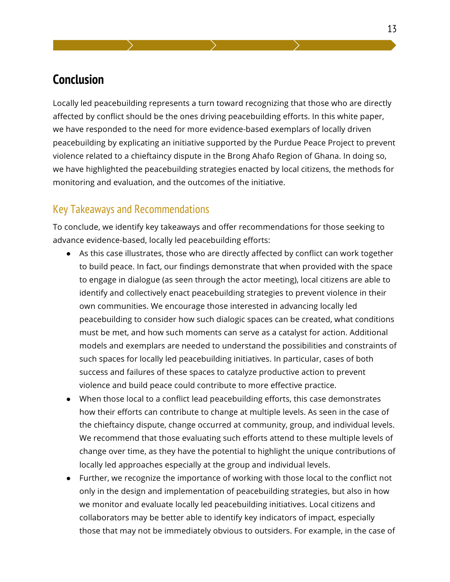## **Conclusion**

Locally led peacebuilding represents a turn toward recognizing that those who are directly affected by conflict should be the ones driving peacebuilding efforts. In this white paper, we have responded to the need for more evidence-based exemplars of locally driven peacebuilding by explicating an initiative supported by the Purdue Peace Project to prevent violence related to a chieftaincy dispute in the Brong Ahafo Region of Ghana. In doing so, we have highlighted the peacebuilding strategies enacted by local citizens, the methods for monitoring and evaluation, and the outcomes of the initiative.

#### Key Takeaways and Recommendations

To conclude, we identify key takeaways and offer recommendations for those seeking to advance evidence-based, locally led peacebuilding efforts:

- As this case illustrates, those who are directly affected by conflict can work together to build peace. In fact, our findings demonstrate that when provided with the space to engage in dialogue (as seen through the actor meeting), local citizens are able to identify and collectively enact peacebuilding strategies to prevent violence in their own communities. We encourage those interested in advancing locally led peacebuilding to consider how such dialogic spaces can be created, what conditions must be met, and how such moments can serve as a catalyst for action. Additional models and exemplars are needed to understand the possibilities and constraints of such spaces for locally led peacebuilding initiatives. In particular, cases of both success and failures of these spaces to catalyze productive action to prevent violence and build peace could contribute to more effective practice.
- When those local to a conflict lead peacebuilding efforts, this case demonstrates how their efforts can contribute to change at multiple levels. As seen in the case of the chieftaincy dispute, change occurred at community, group, and individual levels. We recommend that those evaluating such efforts attend to these multiple levels of change over time, as they have the potential to highlight the unique contributions of locally led approaches especially at the group and individual levels.
- Further, we recognize the importance of working with those local to the conflict not only in the design and implementation of peacebuilding strategies, but also in how we monitor and evaluate locally led peacebuilding initiatives. Local citizens and collaborators may be better able to identify key indicators of impact, especially those that may not be immediately obvious to outsiders. For example, in the case of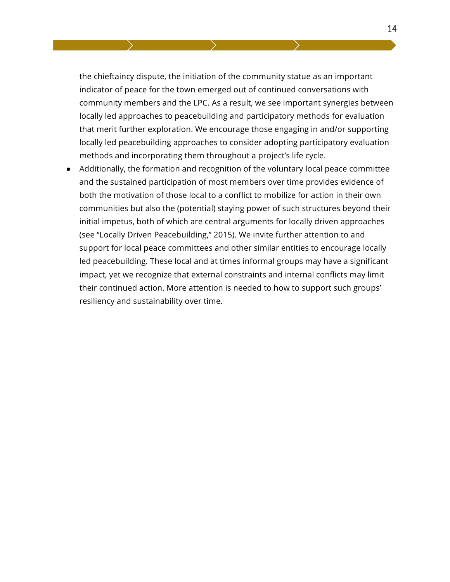the chieftaincy dispute, the initiation of the community statue as an important indicator of peace for the town emerged out of continued conversations with community members and the LPC. As a result, we see important synergies between locally led approaches to peacebuilding and participatory methods for evaluation that merit further exploration. We encourage those engaging in and/or supporting locally led peacebuilding approaches to consider adopting participatory evaluation methods and incorporating them throughout a project's life cycle.

● Additionally, the formation and recognition of the voluntary local peace committee and the sustained participation of most members over time provides evidence of both the motivation of those local to a conflict to mobilize for action in their own communities but also the (potential) staying power of such structures beyond their initial impetus, both of which are central arguments for locally driven approaches (see "Locally Driven Peacebuilding," 2015). We invite further attention to and support for local peace committees and other similar entities to encourage locally led peacebuilding. These local and at times informal groups may have a significant impact, yet we recognize that external constraints and internal conflicts may limit their continued action. More attention is needed to how to support such groups' resiliency and sustainability over time.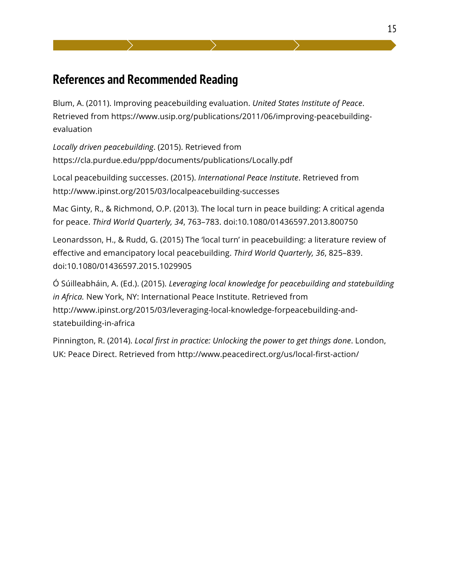# **References and Recommended Reading**

Blum, A. (2011). Improving peacebuilding evaluation. *United States Institute of Peace*. Retrieved from https://www.usip.org/publications/2011/06/improving-peacebuildingevaluation

*Locally driven peacebuilding*. (2015). Retrieved from https://cla.purdue.edu/ppp/documents/publications/Locally.pdf

Local peacebuilding successes. (2015). *International Peace Institute*. Retrieved from http://www.ipinst.org/2015/03/localpeacebuilding-successes

Mac Ginty, R., & Richmond, O.P. (2013). The local turn in peace building: A critical agenda for peace. *Third World Quarterly, 34*, 763–783. doi:10.1080/01436597.2013.800750

Leonardsson, H., & Rudd, G. (2015) The 'local turn' in peacebuilding: a literature review of effective and emancipatory local peacebuilding. *Third World Quarterly, 36*, 825–839. doi:10.1080/01436597.2015.1029905

Ó Súilleabháin, A. (Ed.). (2015). *Leveraging local knowledge for peacebuilding and statebuilding in Africa.* New York, NY: International Peace Institute. Retrieved from http://www.ipinst.org/2015/03/leveraging-local-knowledge-forpeacebuilding-andstatebuilding-in-africa

Pinnington, R. (2014). *Local first in practice: Unlocking the power to get things done*. London, UK: Peace Direct. Retrieved from http://www.peacedirect.org/us/local-first-action/